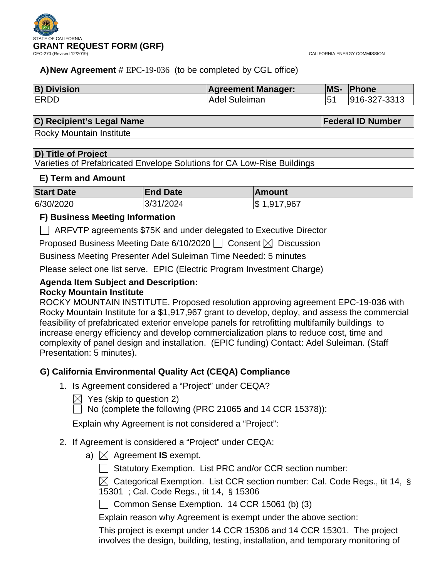

CALIFORNIA ENERGY COMMISSION

## **A)New Agreement** # EPC-19-036 (to be completed by CGL office)

| <b>B) Division</b> | <b>Agreement Manager:</b> | <b>MS-</b>   | <b>Phone</b> |
|--------------------|---------------------------|--------------|--------------|
| <b>ERDD</b>        | Adel Suleiman             | $15^{\circ}$ | 916-327-3313 |

| C) Recipient's Legal Name       | <b>Federal ID Number</b> |
|---------------------------------|--------------------------|
| <b>Rocky Mountain Institute</b> |                          |

## **D) Title of Project**

Varieties of Prefabricated Envelope Solutions for CA Low-Rise Buildings

## **E) Term and Amount**

| <b>Start Date</b> | <b>End Date</b> | ∣Amount           |
|-------------------|-----------------|-------------------|
| 6/30/2020         | 3/31/2024       | , 1,917,967<br>\$ |

## **F) Business Meeting Information**

ARFVTP agreements \$75K and under delegated to Executive Director

Proposed Business Meeting Date 6/10/2020  $\Box$  Consent  $\boxtimes$  Discussion

Business Meeting Presenter Adel Suleiman Time Needed: 5 minutes

Please select one list serve. EPIC (Electric Program Investment Charge)

## **Agenda Item Subject and Description: Rocky Mountain Institute**

## ROCKY MOUNTAIN INSTITUTE. Proposed resolution approving agreement EPC-19-036 with Rocky Mountain Institute for a \$1,917,967 grant to develop, deploy, and assess the commercial feasibility of prefabricated exterior envelope panels for retrofitting multifamily buildings to increase energy efficiency and develop commercialization plans to reduce cost, time and complexity of panel design and installation. (EPIC funding) Contact: Adel Suleiman. (Staff Presentation: 5 minutes).

## **G) California Environmental Quality Act (CEQA) Compliance**

- 1. Is Agreement considered a "Project" under CEQA?
	- $\bowtie$  Yes (skip to question 2)
	- $\Box$  No (complete the following (PRC 21065 and 14 CCR 15378)):

Explain why Agreement is not considered a "Project":

- 2. If Agreement is considered a "Project" under CEQA:
	- a)  $\boxtimes$  Agreement **IS** exempt.
		- Statutory Exemption. List PRC and/or CCR section number:

 $\boxtimes$  Categorical Exemption. List CCR section number: Cal. Code Regs., tit 14, § 15301 ; Cal. Code Regs., tit 14, § 15306

Common Sense Exemption. 14 CCR 15061 (b) (3)

Explain reason why Agreement is exempt under the above section:

This project is exempt under 14 CCR 15306 and 14 CCR 15301. The project involves the design, building, testing, installation, and temporary monitoring of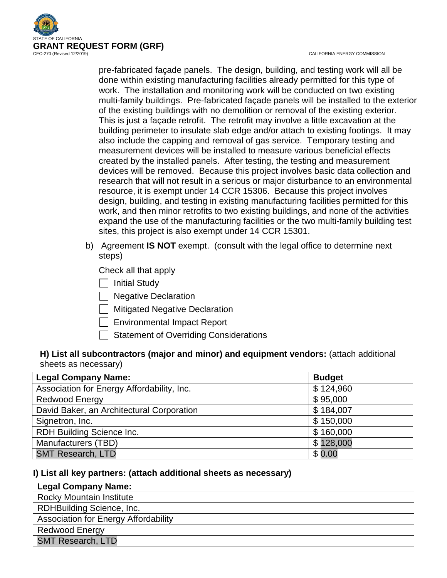

CALIFORNIA ENERGY COMMISSION

pre-fabricated façade panels. The design, building, and testing work will all be done within existing manufacturing facilities already permitted for this type of work. The installation and monitoring work will be conducted on two existing multi-family buildings. Pre-fabricated façade panels will be installed to the exterior of the existing buildings with no demolition or removal of the existing exterior. This is just a façade retrofit. The retrofit may involve a little excavation at the building perimeter to insulate slab edge and/or attach to existing footings. It may also include the capping and removal of gas service. Temporary testing and measurement devices will be installed to measure various beneficial effects created by the installed panels. After testing, the testing and measurement devices will be removed. Because this project involves basic data collection and research that will not result in a serious or major disturbance to an environmental resource, it is exempt under 14 CCR 15306. Because this project involves design, building, and testing in existing manufacturing facilities permitted for this work, and then minor retrofits to two existing buildings, and none of the activities expand the use of the manufacturing facilities or the two multi-family building test sites, this project is also exempt under 14 CCR 15301.

b) Agreement **IS NOT** exempt. (consult with the legal office to determine next steps)

Check all that apply

**Initial Study** 

 $\Box$  Negative Declaration

 $\Box$  Mitigated Negative Declaration

 $\Box$  Environmental Impact Report

Statement of Overriding Considerations

## **H) List all subcontractors (major and minor) and equipment vendors:** (attach additional sheets as necessary)

| <b>Legal Company Name:</b>                 | <b>Budget</b> |
|--------------------------------------------|---------------|
| Association for Energy Affordability, Inc. | \$124,960     |
| <b>Redwood Energy</b>                      | \$95,000      |
| David Baker, an Architectural Corporation  | \$184,007     |
| Signetron, Inc.                            | \$150,000     |
| RDH Building Science Inc.                  | \$160,000     |
| Manufacturers (TBD)                        | \$128,000     |
| <b>SMT Research, LTD</b>                   | \$0.00        |

## **I) List all key partners: (attach additional sheets as necessary)**

| <b>Legal Company Name:</b>                  |
|---------------------------------------------|
| <b>Rocky Mountain Institute</b>             |
| RDHBuilding Science, Inc.                   |
| <b>Association for Energy Affordability</b> |
| <b>Redwood Energy</b>                       |
| <b>SMT Research, LTD</b>                    |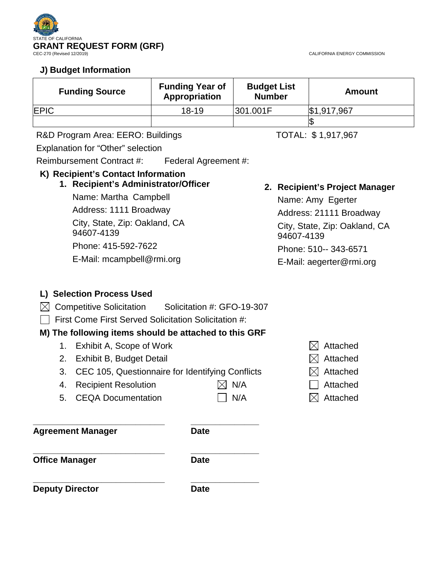

## **J) Budget Information**

| <b>Funding Source</b> | <b>Funding Year of</b><br>Appropriation | <b>Budget List</b><br><b>Number</b> | <b>Amount</b> |
|-----------------------|-----------------------------------------|-------------------------------------|---------------|
| <b>IEPIC</b>          | $18 - 19$                               | 301.001F                            | \$1,917,967   |
|                       |                                         |                                     |               |

## R&D Program Area: EERO: Buildings TOTAL: \$1,917,967

Explanation for "Other" selection

Reimbursement Contract #: Federal Agreement #:

## **K) Recipient's Contact Information**

## **1. Recipient's Administrator/Officer**

Name: Martha Campbell Address: 1111 Broadway City, State, Zip: Oakland, CA 94607-4139 Phone: 415-592-7622 E-Mail: mcampbell@rmi.org

## **2. Recipient's Project Manager**

Name: Amy Egerter Address: 21111 Broadway City, State, Zip: Oakland, CA 94607-4139 Phone: 510-- 343-6571 E-Mail: aegerter@rmi.org

## **L) Selection Process Used**

- $\boxtimes$  Competitive Solicitation Solicitation #: GFO-19-307
- $\Box$  First Come First Served Solicitation Solicitation #:

## **M) The following items should be attached to this GRF**

- 1. Exhibit A, Scope of Work  $\boxtimes$  Attached
- 2. Exhibit B, Budget Detail  $\Box$  Attached
- 3. CEC 105, Questionnaire for Identifying Conflicts  $\boxtimes$  Attached
- 4. Recipient Resolution  $\boxtimes$  N/A  $\Box$  Attached
- 5. CEQA Documentation  $\Box$  N/A  $\boxtimes$  Attached
- 
- **\_\_\_\_\_\_\_\_\_\_\_\_\_\_\_\_\_\_\_\_\_\_\_\_\_\_\_ \_\_\_\_\_\_\_\_\_\_\_\_\_\_ Agreement Manager Date**

**\_\_\_\_\_\_\_\_\_\_\_\_\_\_\_\_\_\_\_\_\_\_\_\_\_\_\_ \_\_\_\_\_\_\_\_\_\_\_\_\_\_ Office Manager Date** 

**\_\_\_\_\_\_\_\_\_\_\_\_\_\_\_\_\_\_\_\_\_\_\_\_\_\_\_ \_\_\_\_\_\_\_\_\_\_\_\_\_\_ Deputy Director Date** 

- 
- 
- 
- 
-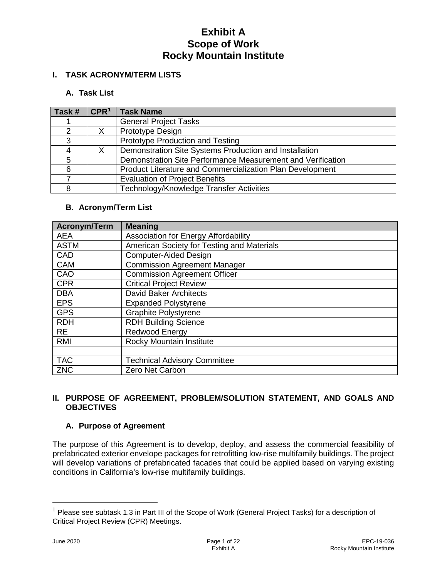## **I. TASK ACRONYM/TERM LISTS**

## **A. Task List**

| Task # | CPR <sup>1</sup> | <b>Task Name</b>                                            |
|--------|------------------|-------------------------------------------------------------|
|        |                  | <b>General Project Tasks</b>                                |
| ⌒      |                  | Prototype Design                                            |
| 3      |                  | Prototype Production and Testing                            |
|        |                  | Demonstration Site Systems Production and Installation      |
| 5      |                  | Demonstration Site Performance Measurement and Verification |
| 6      |                  | Product Literature and Commercialization Plan Development   |
|        |                  | <b>Evaluation of Project Benefits</b>                       |
| 8      |                  | Technology/Knowledge Transfer Activities                    |

## **B. Acronym/Term List**

| <b>Acronym/Term</b> | <b>Meaning</b>                              |
|---------------------|---------------------------------------------|
| <b>AEA</b>          | <b>Association for Energy Affordability</b> |
| <b>ASTM</b>         | American Society for Testing and Materials  |
| CAD                 | <b>Computer-Aided Design</b>                |
| <b>CAM</b>          | <b>Commission Agreement Manager</b>         |
| CAO                 | <b>Commission Agreement Officer</b>         |
| <b>CPR</b>          | <b>Critical Project Review</b>              |
| <b>DBA</b>          | <b>David Baker Architects</b>               |
| <b>EPS</b>          | <b>Expanded Polystyrene</b>                 |
| <b>GPS</b>          | <b>Graphite Polystyrene</b>                 |
| <b>RDH</b>          | <b>RDH Building Science</b>                 |
| <b>RE</b>           | Redwood Energy                              |
| <b>RMI</b>          | Rocky Mountain Institute                    |
|                     |                                             |
| <b>TAC</b>          | <b>Technical Advisory Committee</b>         |
| <b>ZNC</b>          | Zero Net Carbon                             |

## **II. PURPOSE OF AGREEMENT, PROBLEM/SOLUTION STATEMENT, AND GOALS AND OBJECTIVES**

## **A. Purpose of Agreement**

The purpose of this Agreement is to develop, deploy, and assess the commercial feasibility of prefabricated exterior envelope packages for retrofitting low-rise multifamily buildings. The project will develop variations of prefabricated facades that could be applied based on varying existing conditions in California's low-rise multifamily buildings.

<span id="page-3-0"></span> $1$  Please see subtask 1.3 in Part III of the Scope of Work (General Project Tasks) for a description of Critical Project Review (CPR) Meetings.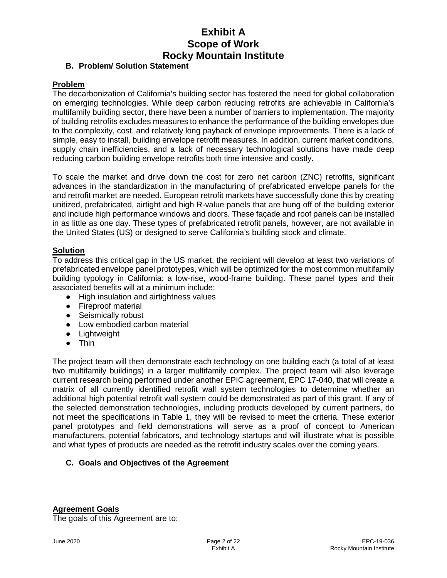### **B. Problem/ Solution Statement**

#### **Problem**

The decarbonization of California's building sector has fostered the need for global collaboration on emerging technologies. While deep carbon reducing retrofits are achievable in California's multifamily building sector, there have been a number of barriers to implementation. The majority of building retrofits excludes measures to enhance the performance of the building envelopes due to the complexity, cost, and relatively long payback of envelope improvements. There is a lack of simple, easy to install, building envelope retrofit measures. In addition, current market conditions, supply chain inefficiencies, and a lack of necessary technological solutions have made deep reducing carbon building envelope retrofits both time intensive and costly.

To scale the market and drive down the cost for zero net carbon (ZNC) retrofits, significant advances in the standardization in the manufacturing of prefabricated envelope panels for the and retrofit market are needed. European retrofit markets have successfully done this by creating unitized, prefabricated, airtight and high R-value panels that are hung off of the building exterior and include high performance windows and doors. These façade and roof panels can be installed in as little as one day. These types of prefabricated retrofit panels, however, are not available in the United States (US) or designed to serve California's building stock and climate.

## **Solution**

To address this critical gap in the US market, the recipient will develop at least two variations of prefabricated envelope panel prototypes, which will be optimized for the most common multifamily building typology in California: a low-rise, wood-frame building. These panel types and their associated benefits will at a minimum include:

- High insulation and airtightness values
- Fireproof material
- Seismically robust
- Low embodied carbon material
- Lightweight
- Thin

The project team will then demonstrate each technology on one building each (a total of at least two multifamily buildings) in a larger multifamily complex. The project team will also leverage current research being performed under another EPIC agreement, EPC 17-040, that will create a matrix of all currently identified retrofit wall system technologies to determine whether an additional high potential retrofit wall system could be demonstrated as part of this grant. If any of the selected demonstration technologies, including products developed by current partners, do not meet the specifications in Table 1, they will be revised to meet the criteria. These exterior panel prototypes and field demonstrations will serve as a proof of concept to American manufacturers, potential fabricators, and technology startups and will illustrate what is possible and what types of products are needed as the retrofit industry scales over the coming years.

## **C. Goals and Objectives of the Agreement**

#### **Agreement Goals**

The goals of this Agreement are to: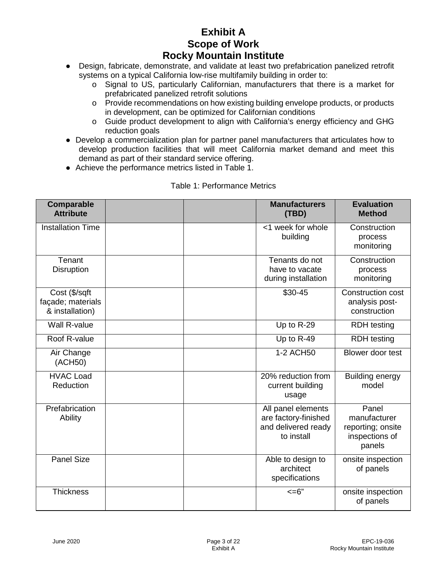- Design, fabricate, demonstrate, and validate at least two prefabrication panelized retrofit systems on a typical California low-rise multifamily building in order to:
	- o Signal to US, particularly Californian, manufacturers that there is a market for prefabricated panelized retrofit solutions
	- o Provide recommendations on how existing building envelope products, or products in development, can be optimized for Californian conditions
	- o Guide product development to align with California's energy efficiency and GHG reduction goals
- Develop a commercialization plan for partner panel manufacturers that articulates how to develop production facilities that will meet California market demand and meet this demand as part of their standard service offering.
- Achieve the performance metrics listed in Table 1.

| Comparable<br><b>Attribute</b>                        | <b>Manufacturers</b><br>(TBD)                                                   | <b>Evaluation</b><br><b>Method</b>                                     |
|-------------------------------------------------------|---------------------------------------------------------------------------------|------------------------------------------------------------------------|
| <b>Installation Time</b>                              | <1 week for whole<br>building                                                   | Construction<br>process<br>monitoring                                  |
| Tenant<br><b>Disruption</b>                           | Tenants do not<br>have to vacate<br>during installation                         | Construction<br>process<br>monitoring                                  |
| Cost (\$/sqft<br>façade; materials<br>& installation) | \$30-45                                                                         | <b>Construction cost</b><br>analysis post-<br>construction             |
| <b>Wall R-value</b>                                   | Up to R-29                                                                      | <b>RDH</b> testing                                                     |
| Roof R-value                                          | Up to R-49                                                                      | <b>RDH</b> testing                                                     |
| Air Change<br>(ACH50)                                 | 1-2 ACH50                                                                       | Blower door test                                                       |
| <b>HVAC Load</b><br>Reduction                         | 20% reduction from<br>current building<br>usage                                 | Building energy<br>model                                               |
| Prefabrication<br>Ability                             | All panel elements<br>are factory-finished<br>and delivered ready<br>to install | Panel<br>manufacturer<br>reporting; onsite<br>inspections of<br>panels |
| <b>Panel Size</b>                                     | Able to design to<br>architect<br>specifications                                | onsite inspection<br>of panels                                         |
| <b>Thickness</b>                                      | $=6"$                                                                           | onsite inspection<br>of panels                                         |

#### Table 1: Performance Metrics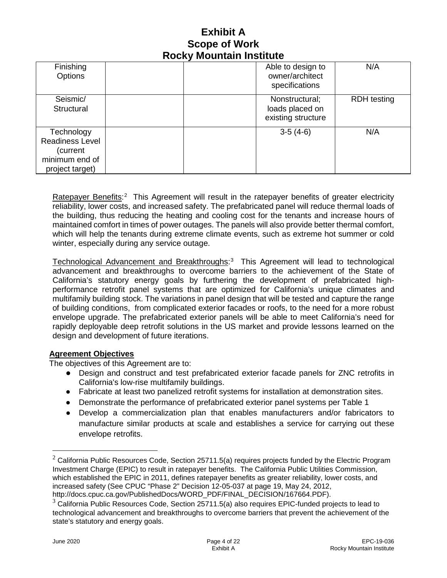| Finishing<br>Options                                                           |  | Able to design to<br>owner/architect<br>specifications  | N/A                |
|--------------------------------------------------------------------------------|--|---------------------------------------------------------|--------------------|
| Seismic/<br>Structural                                                         |  | Nonstructural;<br>loads placed on<br>existing structure | <b>RDH</b> testing |
| Technology<br>Readiness Level<br>(current<br>minimum end of<br>project target) |  | $3-5(4-6)$                                              | N/A                |

Ratepayer Benefits:<sup>[2](#page-6-0)</sup> This Agreement will result in the ratepayer benefits of greater electricity reliability, lower costs, and increased safety. The prefabricated panel will reduce thermal loads of the building, thus reducing the heating and cooling cost for the tenants and increase hours of maintained comfort in times of power outages. The panels will also provide better thermal comfort, which will help the tenants during extreme climate events, such as extreme hot summer or cold winter, especially during any service outage.

Technological Advancement and Breakthroughs:<sup>[3](#page-6-1)</sup> This Agreement will lead to technological advancement and breakthroughs to overcome barriers to the achievement of the State of California's statutory energy goals by furthering the development of prefabricated highperformance retrofit panel systems that are optimized for California's unique climates and multifamily building stock. The variations in panel design that will be tested and capture the range of building conditions, from complicated exterior facades or roofs, to the need for a more robust envelope upgrade. The prefabricated exterior panels will be able to meet California's need for rapidly deployable deep retrofit solutions in the US market and provide lessons learned on the design and development of future iterations.

## **Agreement Objectives**

The objectives of this Agreement are to:

- Design and construct and test prefabricated exterior facade panels for ZNC retrofits in California's low-rise multifamily buildings.
- Fabricate at least two panelized retrofit systems for installation at demonstration sites.
- Demonstrate the performance of prefabricated exterior panel systems per Table 1
- Develop a commercialization plan that enables manufacturers and/or fabricators to manufacture similar products at scale and establishes a service for carrying out these envelope retrofits.

<span id="page-6-0"></span> $2$  California Public Resources Code, Section 25711.5(a) requires projects funded by the Electric Program Investment Charge (EPIC) to result in ratepayer benefits. The California Public Utilities Commission, which established the EPIC in 2011, defines ratepayer benefits as greater reliability, lower costs, and increased safety (See CPUC "Phase 2" Decision 12-05-037 at page 19, May 24, 2012, http://docs.cpuc.ca.gov/PublishedDocs/WORD\_PDF/FINAL\_DECISION/167664.PDF).

<span id="page-6-1"></span> $3$  California Public Resources Code, Section 25711.5(a) also requires EPIC-funded projects to lead to technological advancement and breakthroughs to overcome barriers that prevent the achievement of the state's statutory and energy goals.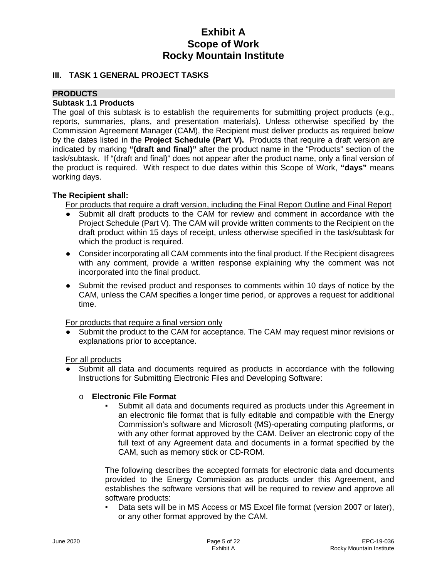### **III. TASK 1 GENERAL PROJECT TASKS**

### **PRODUCTS**

#### **Subtask 1.1 Products**

The goal of this subtask is to establish the requirements for submitting project products (e.g., reports, summaries, plans, and presentation materials). Unless otherwise specified by the Commission Agreement Manager (CAM), the Recipient must deliver products as required below by the dates listed in the **Project Schedule (Part V).** Products that require a draft version are indicated by marking **"(draft and final)"** after the product name in the "Products" section of the task/subtask. If "(draft and final)" does not appear after the product name, only a final version of the product is required. With respect to due dates within this Scope of Work, **"days"** means working days.

#### **The Recipient shall:**

For products that require a draft version, including the Final Report Outline and Final Report

- Submit all draft products to the CAM for review and comment in accordance with the Project Schedule (Part V). The CAM will provide written comments to the Recipient on the draft product within 15 days of receipt, unless otherwise specified in the task/subtask for which the product is required.
- Consider incorporating all CAM comments into the final product. If the Recipient disagrees with any comment, provide a written response explaining why the comment was not incorporated into the final product.
- Submit the revised product and responses to comments within 10 days of notice by the CAM, unless the CAM specifies a longer time period, or approves a request for additional time.

For products that require a final version only

Submit the product to the CAM for acceptance. The CAM may request minor revisions or explanations prior to acceptance.

For all products

Submit all data and documents required as products in accordance with the following Instructions for Submitting Electronic Files and Developing Software:

#### o **Electronic File Format**

Submit all data and documents required as products under this Agreement in an electronic file format that is fully editable and compatible with the Energy Commission's software and Microsoft (MS)-operating computing platforms, or with any other format approved by the CAM. Deliver an electronic copy of the full text of any Agreement data and documents in a format specified by the CAM, such as memory stick or CD-ROM.

The following describes the accepted formats for electronic data and documents provided to the Energy Commission as products under this Agreement, and establishes the software versions that will be required to review and approve all software products:

Data sets will be in MS Access or MS Excel file format (version 2007 or later), or any other format approved by the CAM.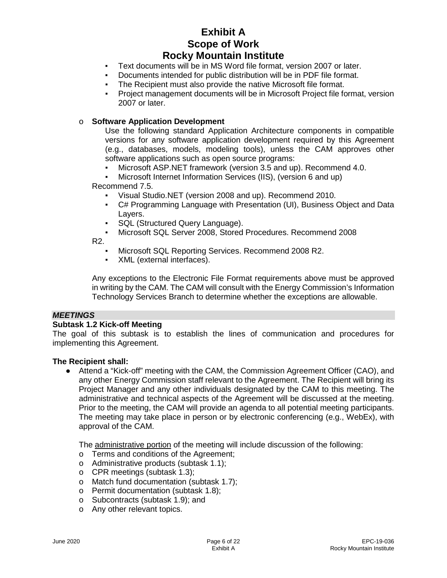- Text documents will be in MS Word file format, version 2007 or later.
- Documents intended for public distribution will be in PDF file format.
- The Recipient must also provide the native Microsoft file format.
- Project management documents will be in Microsoft Project file format, version 2007 or later.

#### o **Software Application Development**

Use the following standard Application Architecture components in compatible versions for any software application development required by this Agreement (e.g., databases, models, modeling tools), unless the CAM approves other software applications such as open source programs:

- Microsoft ASP.NET framework (version 3.5 and up). Recommend 4.0.
- Microsoft Internet Information Services (IIS), (version 6 and up)

Recommend 7.5.

- Visual Studio.NET (version 2008 and up). Recommend 2010.
- C# Programming Language with Presentation (UI), Business Object and Data Layers.
- SQL (Structured Query Language).
- Microsoft SQL Server 2008, Stored Procedures. Recommend 2008

R2.

- Microsoft SQL Reporting Services. Recommend 2008 R2.
- XML (external interfaces).

Any exceptions to the Electronic File Format requirements above must be approved in writing by the CAM. The CAM will consult with the Energy Commission's Information Technology Services Branch to determine whether the exceptions are allowable.

#### *MEETINGS*

#### **Subtask 1.2 Kick-off Meeting**

The goal of this subtask is to establish the lines of communication and procedures for implementing this Agreement.

#### **The Recipient shall:**

● Attend a "Kick-off" meeting with the CAM, the Commission Agreement Officer (CAO), and any other Energy Commission staff relevant to the Agreement. The Recipient will bring its Project Manager and any other individuals designated by the CAM to this meeting. The administrative and technical aspects of the Agreement will be discussed at the meeting. Prior to the meeting, the CAM will provide an agenda to all potential meeting participants. The meeting may take place in person or by electronic conferencing (e.g., WebEx), with approval of the CAM.

The administrative portion of the meeting will include discussion of the following:

- o Terms and conditions of the Agreement;
- o Administrative products (subtask 1.1);
- o CPR meetings (subtask 1.3);
- o Match fund documentation (subtask 1.7);
- o Permit documentation (subtask 1.8);
- o Subcontracts (subtask 1.9); and
- o Any other relevant topics.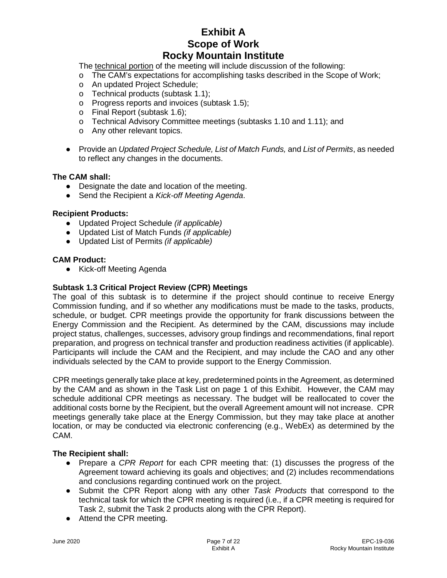The technical portion of the meeting will include discussion of the following:

- o The CAM's expectations for accomplishing tasks described in the Scope of Work;
- o An updated Project Schedule;
- o Technical products (subtask 1.1);
- o Progress reports and invoices (subtask 1.5);
- o Final Report (subtask 1.6);
- o Technical Advisory Committee meetings (subtasks 1.10 and 1.11); and
- o Any other relevant topics.
- Provide an *Updated Project Schedule, List of Match Funds,* and *List of Permits*, as needed to reflect any changes in the documents.

### **The CAM shall:**

- Designate the date and location of the meeting.
- Send the Recipient a *Kick-off Meeting Agenda*.

#### **Recipient Products:**

- Updated Project Schedule *(if applicable)*
- Updated List of Match Funds *(if applicable)*
- Updated List of Permits *(if applicable)*

#### **CAM Product:**

● Kick-off Meeting Agenda

### **Subtask 1.3 Critical Project Review (CPR) Meetings**

The goal of this subtask is to determine if the project should continue to receive Energy Commission funding, and if so whether any modifications must be made to the tasks, products, schedule, or budget. CPR meetings provide the opportunity for frank discussions between the Energy Commission and the Recipient. As determined by the CAM, discussions may include project status, challenges, successes, advisory group findings and recommendations, final report preparation, and progress on technical transfer and production readiness activities (if applicable). Participants will include the CAM and the Recipient, and may include the CAO and any other individuals selected by the CAM to provide support to the Energy Commission.

CPR meetings generally take place at key, predetermined points in the Agreement, as determined by the CAM and as shown in the Task List on page 1 of this Exhibit. However, the CAM may schedule additional CPR meetings as necessary. The budget will be reallocated to cover the additional costs borne by the Recipient, but the overall Agreement amount will not increase. CPR meetings generally take place at the Energy Commission, but they may take place at another location, or may be conducted via electronic conferencing (e.g., WebEx) as determined by the CAM.

#### **The Recipient shall:**

- Prepare a *CPR Report* for each CPR meeting that: (1) discusses the progress of the Agreement toward achieving its goals and objectives; and (2) includes recommendations and conclusions regarding continued work on the project.
- Submit the CPR Report along with any other *Task Products* that correspond to the technical task for which the CPR meeting is required (i.e., if a CPR meeting is required for Task 2, submit the Task 2 products along with the CPR Report).
- Attend the CPR meeting.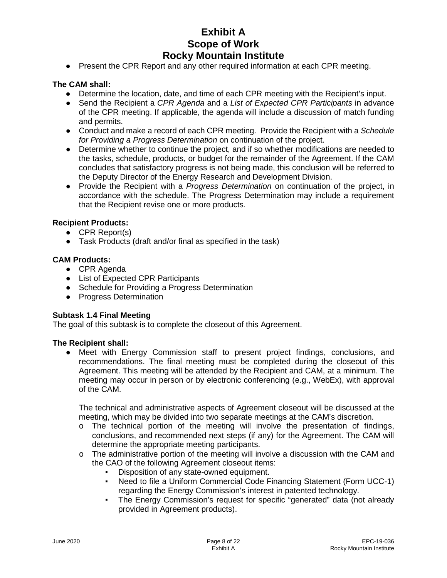• Present the CPR Report and any other required information at each CPR meeting.

#### **The CAM shall:**

- Determine the location, date, and time of each CPR meeting with the Recipient's input.
- Send the Recipient a *CPR Agenda* and a *List of Expected CPR Participants* in advance of the CPR meeting. If applicable, the agenda will include a discussion of match funding and permits.
- Conduct and make a record of each CPR meeting. Provide the Recipient with a *Schedule for Providing a Progress Determination* on continuation of the project.
- Determine whether to continue the project, and if so whether modifications are needed to the tasks, schedule, products, or budget for the remainder of the Agreement. If the CAM concludes that satisfactory progress is not being made, this conclusion will be referred to the Deputy Director of the Energy Research and Development Division.
- Provide the Recipient with a *Progress Determination* on continuation of the project, in accordance with the schedule. The Progress Determination may include a requirement that the Recipient revise one or more products.

#### **Recipient Products:**

- CPR Report(s)
- Task Products (draft and/or final as specified in the task)

#### **CAM Products:**

- CPR Agenda
- List of Expected CPR Participants
- Schedule for Providing a Progress Determination
- Progress Determination

#### **Subtask 1.4 Final Meeting**

The goal of this subtask is to complete the closeout of this Agreement.

#### **The Recipient shall:**

● Meet with Energy Commission staff to present project findings, conclusions, and recommendations. The final meeting must be completed during the closeout of this Agreement. This meeting will be attended by the Recipient and CAM, at a minimum. The meeting may occur in person or by electronic conferencing (e.g., WebEx), with approval of the CAM.

The technical and administrative aspects of Agreement closeout will be discussed at the meeting, which may be divided into two separate meetings at the CAM's discretion.

- $\circ$  The technical portion of the meeting will involve the presentation of findings, conclusions, and recommended next steps (if any) for the Agreement. The CAM will determine the appropriate meeting participants.
- o The administrative portion of the meeting will involve a discussion with the CAM and the CAO of the following Agreement closeout items:
	- Disposition of any state-owned equipment.
	- Need to file a Uniform Commercial Code Financing Statement (Form UCC-1) regarding the Energy Commission's interest in patented technology.
	- The Energy Commission's request for specific "generated" data (not already provided in Agreement products).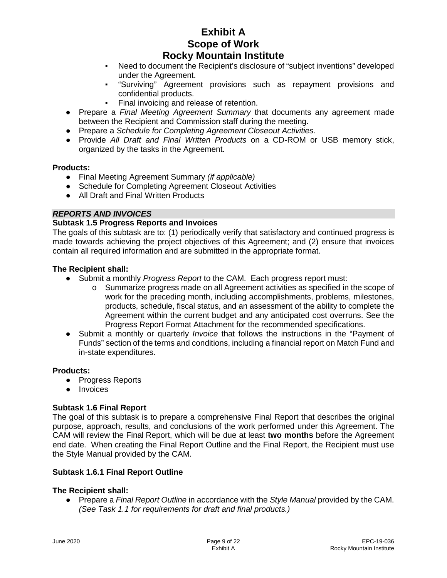- Need to document the Recipient's disclosure of "subject inventions" developed under the Agreement.
- "Surviving" Agreement provisions such as repayment provisions and confidential products.
- Final invoicing and release of retention.
- Prepare a *Final Meeting Agreement Summary* that documents any agreement made between the Recipient and Commission staff during the meeting.
- Prepare a *Schedule for Completing Agreement Closeout Activities*.
- Provide *All Draft and Final Written Products* on a CD-ROM or USB memory stick, organized by the tasks in the Agreement.

#### **Products:**

- Final Meeting Agreement Summary *(if applicable)*
- Schedule for Completing Agreement Closeout Activities
- All Draft and Final Written Products

#### *REPORTS AND INVOICES*

#### **Subtask 1.5 Progress Reports and Invoices**

The goals of this subtask are to: (1) periodically verify that satisfactory and continued progress is made towards achieving the project objectives of this Agreement; and (2) ensure that invoices contain all required information and are submitted in the appropriate format.

#### **The Recipient shall:**

- Submit a monthly *Progress Report* to the CAM. Each progress report must:
	- $\circ$  Summarize progress made on all Agreement activities as specified in the scope of work for the preceding month, including accomplishments, problems, milestones, products, schedule, fiscal status, and an assessment of the ability to complete the Agreement within the current budget and any anticipated cost overruns. See the Progress Report Format Attachment for the recommended specifications.
- Submit a monthly or quarterly *Invoice* that follows the instructions in the "Payment of Funds" section of the terms and conditions, including a financial report on Match Fund and in-state expenditures.

#### **Products:**

- Progress Reports
- Invoices

#### **Subtask 1.6 Final Report**

The goal of this subtask is to prepare a comprehensive Final Report that describes the original purpose, approach, results, and conclusions of the work performed under this Agreement. The CAM will review the Final Report, which will be due at least **two months** before the Agreement end date. When creating the Final Report Outline and the Final Report, the Recipient must use the Style Manual provided by the CAM.

#### **Subtask 1.6.1 Final Report Outline**

#### **The Recipient shall:**

● Prepare a *Final Report Outline* in accordance with the *Style Manual* provided by the CAM. *(See Task 1.1 for requirements for draft and final products.)*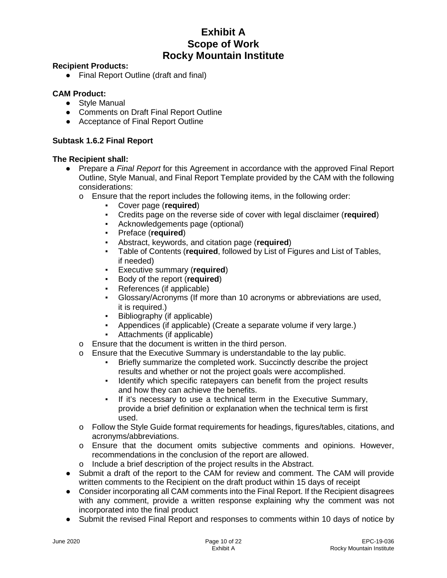#### **Recipient Products:**

● Final Report Outline (draft and final)

## **CAM Product:**

- Style Manual
- Comments on Draft Final Report Outline
- Acceptance of Final Report Outline

## **Subtask 1.6.2 Final Report**

## **The Recipient shall:**

- Prepare a *Final Report* for this Agreement in accordance with the approved Final Report Outline, Style Manual, and Final Report Template provided by the CAM with the following considerations:
	- o Ensure that the report includes the following items, in the following order:
		- Cover page (**required**)
		- Credits page on the reverse side of cover with legal disclaimer (**required**)
		- Acknowledgements page (optional)
		- Preface (**required**)
		- Abstract, keywords, and citation page (**required**)
		- Table of Contents (**required**, followed by List of Figures and List of Tables, if needed)
		- Executive summary (**required**)
		- Body of the report (**required**)
		- References (if applicable)
		- Glossary/Acronyms (If more than 10 acronyms or abbreviations are used, it is required.)
		- Bibliography (if applicable)
		- Appendices (if applicable) (Create a separate volume if very large.)
		- Attachments (if applicable)
	- o Ensure that the document is written in the third person.
	- o Ensure that the Executive Summary is understandable to the lay public.
		- Briefly summarize the completed work. Succinctly describe the project results and whether or not the project goals were accomplished.
		- Identify which specific ratepayers can benefit from the project results and how they can achieve the benefits.
		- If it's necessary to use a technical term in the Executive Summary, provide a brief definition or explanation when the technical term is first used.
	- o Follow the Style Guide format requirements for headings, figures/tables, citations, and acronyms/abbreviations.
	- o Ensure that the document omits subjective comments and opinions. However, recommendations in the conclusion of the report are allowed.
	- o Include a brief description of the project results in the Abstract.
- Submit a draft of the report to the CAM for review and comment. The CAM will provide written comments to the Recipient on the draft product within 15 days of receipt
- Consider incorporating all CAM comments into the Final Report. If the Recipient disagrees with any comment, provide a written response explaining why the comment was not incorporated into the final product
- Submit the revised Final Report and responses to comments within 10 days of notice by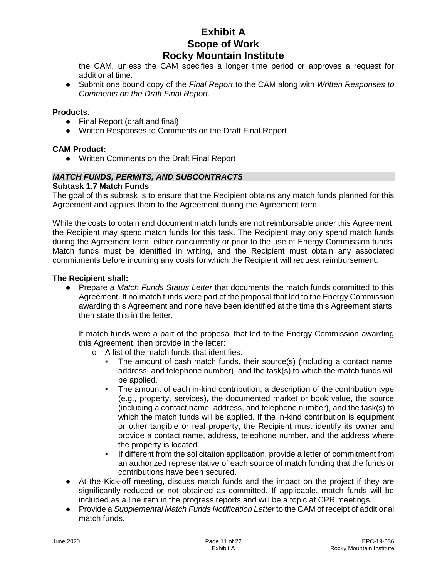the CAM, unless the CAM specifies a longer time period or approves a request for additional time.

● Submit one bound copy of the *Final Report* to the CAM along with *Written Responses to Comments on the Draft Final Report*.

#### **Products**:

- Final Report (draft and final)
- Written Responses to Comments on the Draft Final Report

#### **CAM Product:**

● Written Comments on the Draft Final Report

#### *MATCH FUNDS, PERMITS, AND SUBCONTRACTS*

#### **Subtask 1.7 Match Funds**

The goal of this subtask is to ensure that the Recipient obtains any match funds planned for this Agreement and applies them to the Agreement during the Agreement term.

While the costs to obtain and document match funds are not reimbursable under this Agreement, the Recipient may spend match funds for this task. The Recipient may only spend match funds during the Agreement term, either concurrently or prior to the use of Energy Commission funds. Match funds must be identified in writing, and the Recipient must obtain any associated commitments before incurring any costs for which the Recipient will request reimbursement.

#### **The Recipient shall:**

● Prepare a *Match Funds Status Letter* that documents the match funds committed to this Agreement. If no match funds were part of the proposal that led to the Energy Commission awarding this Agreement and none have been identified at the time this Agreement starts, then state this in the letter.

If match funds were a part of the proposal that led to the Energy Commission awarding this Agreement, then provide in the letter:

- o A list of the match funds that identifies:
	- The amount of cash match funds, their source(s) (including a contact name, address, and telephone number), and the task(s) to which the match funds will be applied.
	- The amount of each in-kind contribution, a description of the contribution type (e.g., property, services), the documented market or book value, the source (including a contact name, address, and telephone number), and the task(s) to which the match funds will be applied. If the in-kind contribution is equipment or other tangible or real property, the Recipient must identify its owner and provide a contact name, address, telephone number, and the address where the property is located.
	- If different from the solicitation application, provide a letter of commitment from an authorized representative of each source of match funding that the funds or contributions have been secured.
- At the Kick-off meeting, discuss match funds and the impact on the project if they are significantly reduced or not obtained as committed. If applicable, match funds will be included as a line item in the progress reports and will be a topic at CPR meetings.
- Provide a *Supplemental Match Funds Notification Letter* to the CAM of receipt of additional match funds.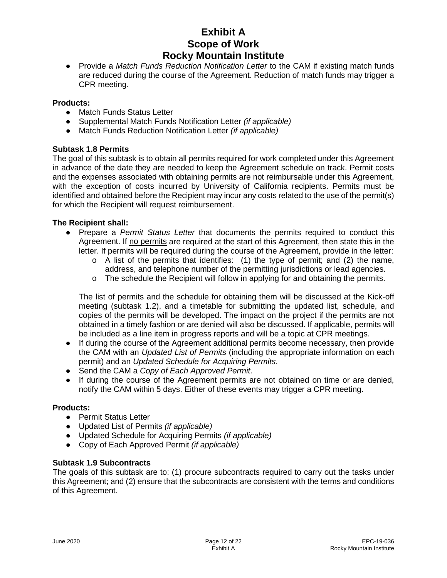● Provide a *Match Funds Reduction Notification Letter* to the CAM if existing match funds are reduced during the course of the Agreement. Reduction of match funds may trigger a CPR meeting.

#### **Products:**

- Match Funds Status Letter
- Supplemental Match Funds Notification Letter *(if applicable)*
- Match Funds Reduction Notification Letter *(if applicable)*

## **Subtask 1.8 Permits**

The goal of this subtask is to obtain all permits required for work completed under this Agreement in advance of the date they are needed to keep the Agreement schedule on track. Permit costs and the expenses associated with obtaining permits are not reimbursable under this Agreement, with the exception of costs incurred by University of California recipients. Permits must be identified and obtained before the Recipient may incur any costs related to the use of the permit(s) for which the Recipient will request reimbursement.

#### **The Recipient shall:**

- Prepare a *Permit Status Letter* that documents the permits required to conduct this Agreement. If no permits are required at the start of this Agreement, then state this in the letter. If permits will be required during the course of the Agreement, provide in the letter:
	- $\circ$  A list of the permits that identifies: (1) the type of permit; and (2) the name, address, and telephone number of the permitting jurisdictions or lead agencies.
	- $\circ$  The schedule the Recipient will follow in applying for and obtaining the permits.

The list of permits and the schedule for obtaining them will be discussed at the Kick-off meeting (subtask 1.2), and a timetable for submitting the updated list, schedule, and copies of the permits will be developed. The impact on the project if the permits are not obtained in a timely fashion or are denied will also be discussed. If applicable, permits will be included as a line item in progress reports and will be a topic at CPR meetings.

- If during the course of the Agreement additional permits become necessary, then provide the CAM with an *Updated List of Permits* (including the appropriate information on each permit) and an *Updated Schedule for Acquiring Permits*.
- Send the CAM a *Copy of Each Approved Permit*.
- If during the course of the Agreement permits are not obtained on time or are denied, notify the CAM within 5 days. Either of these events may trigger a CPR meeting.

## **Products:**

- Permit Status Letter
- Updated List of Permits *(if applicable)*
- Updated Schedule for Acquiring Permits *(if applicable)*
- Copy of Each Approved Permit *(if applicable)*

## **Subtask 1.9 Subcontracts**

The goals of this subtask are to: (1) procure subcontracts required to carry out the tasks under this Agreement; and (2) ensure that the subcontracts are consistent with the terms and conditions of this Agreement.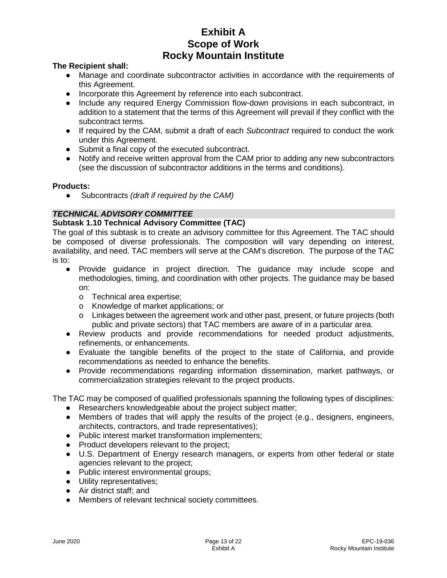#### **The Recipient shall:**

- Manage and coordinate subcontractor activities in accordance with the requirements of this Agreement.
- Incorporate this Agreement by reference into each subcontract.
- Include any required Energy Commission flow-down provisions in each subcontract, in addition to a statement that the terms of this Agreement will prevail if they conflict with the subcontract terms.
- If required by the CAM, submit a draft of each *Subcontract* required to conduct the work under this Agreement.
- Submit a final copy of the executed subcontract.
- Notify and receive written approval from the CAM prior to adding any new subcontractors (see the discussion of subcontractor additions in the terms and conditions).

#### **Products:**

● Subcontracts *(draft if required by the CAM)*

## *TECHNICAL ADVISORY COMMITTEE*

#### **Subtask 1.10 Technical Advisory Committee (TAC)**

The goal of this subtask is to create an advisory committee for this Agreement. The TAC should be composed of diverse professionals. The composition will vary depending on interest, availability, and need. TAC members will serve at the CAM's discretion. The purpose of the TAC is to:

- Provide guidance in project direction. The guidance may include scope and methodologies, timing, and coordination with other projects. The guidance may be based on:
	- o Technical area expertise;
	- o Knowledge of market applications; or
	- o Linkages between the agreement work and other past, present, or future projects (both public and private sectors) that TAC members are aware of in a particular area.
- Review products and provide recommendations for needed product adjustments, refinements, or enhancements.
- Evaluate the tangible benefits of the project to the state of California, and provide recommendations as needed to enhance the benefits.
- Provide recommendations regarding information dissemination, market pathways, or commercialization strategies relevant to the project products.

The TAC may be composed of qualified professionals spanning the following types of disciplines:

- Researchers knowledgeable about the project subject matter;
- Members of trades that will apply the results of the project (e.g., designers, engineers, architects, contractors, and trade representatives);
- Public interest market transformation implementers;
- Product developers relevant to the project;
- U.S. Department of Energy research managers, or experts from other federal or state agencies relevant to the project;
- Public interest environmental groups;
- Utility representatives;
- Air district staff; and
- Members of relevant technical society committees.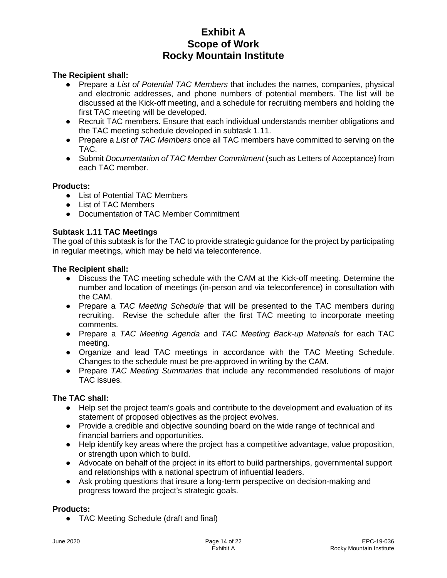#### **The Recipient shall:**

- Prepare a *List of Potential TAC Members* that includes the names, companies, physical and electronic addresses, and phone numbers of potential members. The list will be discussed at the Kick-off meeting, and a schedule for recruiting members and holding the first TAC meeting will be developed.
- Recruit TAC members. Ensure that each individual understands member obligations and the TAC meeting schedule developed in subtask 1.11.
- Prepare a *List of TAC Members* once all TAC members have committed to serving on the TAC.
- Submit *Documentation of TAC Member Commitment* (such as Letters of Acceptance) from each TAC member.

#### **Products:**

- List of Potential TAC Members
- List of TAC Members
- Documentation of TAC Member Commitment

## **Subtask 1.11 TAC Meetings**

The goal of this subtask is for the TAC to provide strategic guidance for the project by participating in regular meetings, which may be held via teleconference.

#### **The Recipient shall:**

- Discuss the TAC meeting schedule with the CAM at the Kick-off meeting. Determine the number and location of meetings (in-person and via teleconference) in consultation with the CAM.
- Prepare a *TAC Meeting Schedule* that will be presented to the TAC members during recruiting. Revise the schedule after the first TAC meeting to incorporate meeting comments.
- Prepare a *TAC Meeting Agenda* and *TAC Meeting Back-up Materials* for each TAC meeting.
- Organize and lead TAC meetings in accordance with the TAC Meeting Schedule. Changes to the schedule must be pre-approved in writing by the CAM.
- Prepare *TAC Meeting Summaries* that include any recommended resolutions of major TAC issues.

#### **The TAC shall:**

- Help set the project team's goals and contribute to the development and evaluation of its statement of proposed objectives as the project evolves.
- Provide a credible and objective sounding board on the wide range of technical and financial barriers and opportunities.
- Help identify key areas where the project has a competitive advantage, value proposition, or strength upon which to build.
- Advocate on behalf of the project in its effort to build partnerships, governmental support and relationships with a national spectrum of influential leaders.
- Ask probing questions that insure a long-term perspective on decision-making and progress toward the project's strategic goals.

#### **Products:**

● TAC Meeting Schedule (draft and final)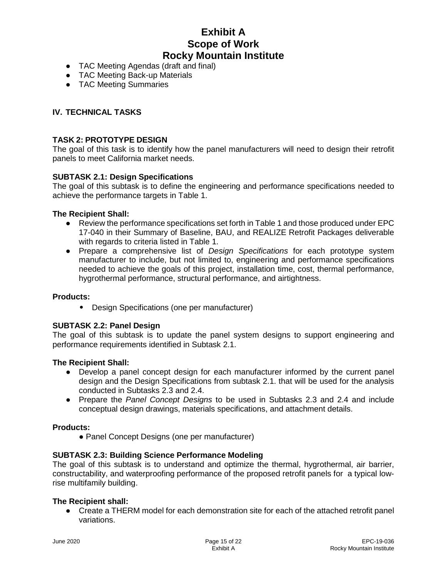- TAC Meeting Agendas (draft and final)
- TAC Meeting Back-up Materials
- TAC Meeting Summaries

### **IV. TECHNICAL TASKS**

#### **TASK 2: PROTOTYPE DESIGN**

The goal of this task is to identify how the panel manufacturers will need to design their retrofit panels to meet California market needs.

#### **SUBTASK 2.1: Design Specifications**

The goal of this subtask is to define the engineering and performance specifications needed to achieve the performance targets in Table 1.

#### **The Recipient Shall:**

- Review the performance specifications set forth in Table 1 and those produced under EPC 17-040 in their Summary of Baseline, BAU, and REALIZE Retrofit Packages deliverable with regards to criteria listed in Table 1.
- Prepare a comprehensive list of *Design Specifications* for each prototype system manufacturer to include, but not limited to, engineering and performance specifications needed to achieve the goals of this project, installation time, cost, thermal performance, hygrothermal performance, structural performance, and airtightness.

#### **Products:**

• Design Specifications (one per manufacturer)

#### **SUBTASK 2.2: Panel Design**

The goal of this subtask is to update the panel system designs to support engineering and performance requirements identified in Subtask 2.1.

### **The Recipient Shall:**

- Develop a panel concept design for each manufacturer informed by the current panel design and the Design Specifications from subtask 2.1. that will be used for the analysis conducted in Subtasks 2.3 and 2.4.
- Prepare the *Panel Concept Designs* to be used in Subtasks 2.3 and 2.4 and include conceptual design drawings, materials specifications, and attachment details.

#### **Products:**

• Panel Concept Designs (one per manufacturer)

#### **SUBTASK 2.3: Building Science Performance Modeling**

The goal of this subtask is to understand and optimize the thermal, hygrothermal, air barrier, constructability, and waterproofing performance of the proposed retrofit panels for a typical lowrise multifamily building.

#### **The Recipient shall:**

● Create a THERM model for each demonstration site for each of the attached retrofit panel variations.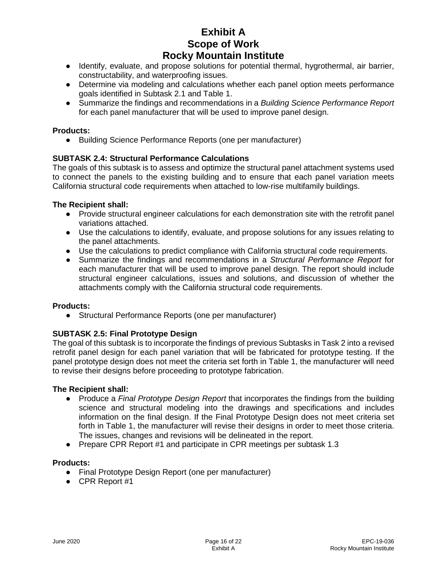- Identify, evaluate, and propose solutions for potential thermal, hygrothermal, air barrier, constructability, and waterproofing issues.
- Determine via modeling and calculations whether each panel option meets performance goals identified in Subtask 2.1 and Table 1.
- Summarize the findings and recommendations in a *Building Science Performance Report* for each panel manufacturer that will be used to improve panel design.

## **Products:**

● Building Science Performance Reports (one per manufacturer)

## **SUBTASK 2.4: Structural Performance Calculations**

The goals of this subtask is to assess and optimize the structural panel attachment systems used to connect the panels to the existing building and to ensure that each panel variation meets California structural code requirements when attached to low-rise multifamily buildings.

## **The Recipient shall:**

- Provide structural engineer calculations for each demonstration site with the retrofit panel variations attached.
- Use the calculations to identify, evaluate, and propose solutions for any issues relating to the panel attachments.
- Use the calculations to predict compliance with California structural code requirements.
- Summarize the findings and recommendations in a *Structural Performance Report* for each manufacturer that will be used to improve panel design. The report should include structural engineer calculations, issues and solutions, and discussion of whether the attachments comply with the California structural code requirements.

#### **Products:**

● Structural Performance Reports (one per manufacturer)

## **SUBTASK 2.5: Final Prototype Design**

The goal of this subtask is to incorporate the findings of previous Subtasks in Task 2 into a revised retrofit panel design for each panel variation that will be fabricated for prototype testing. If the panel prototype design does not meet the criteria set forth in Table 1, the manufacturer will need to revise their designs before proceeding to prototype fabrication.

#### **The Recipient shall:**

- Produce a *Final Prototype Design Report* that incorporates the findings from the building science and structural modeling into the drawings and specifications and includes information on the final design. If the Final Prototype Design does not meet criteria set forth in Table 1, the manufacturer will revise their designs in order to meet those criteria. The issues, changes and revisions will be delineated in the report.
- Prepare CPR Report #1 and participate in CPR meetings per subtask 1.3

#### **Products:**

- Final Prototype Design Report (one per manufacturer)
- CPR Report #1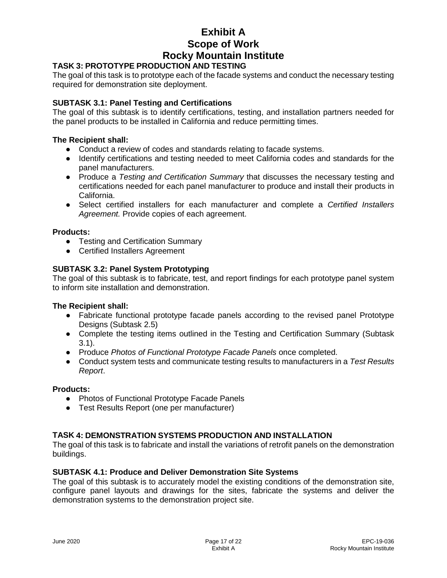## **TASK 3: PROTOTYPE PRODUCTION AND TESTING**

The goal of this task is to prototype each of the facade systems and conduct the necessary testing required for demonstration site deployment.

## **SUBTASK 3.1: Panel Testing and Certifications**

The goal of this subtask is to identify certifications, testing, and installation partners needed for the panel products to be installed in California and reduce permitting times.

#### **The Recipient shall:**

- Conduct a review of codes and standards relating to facade systems.
- Identify certifications and testing needed to meet California codes and standards for the panel manufacturers.
- Produce a *Testing and Certification Summary* that discusses the necessary testing and certifications needed for each panel manufacturer to produce and install their products in California.
- Select certified installers for each manufacturer and complete a *Certified Installers Agreement.* Provide copies of each agreement.

#### **Products:**

- Testing and Certification Summary
- Certified Installers Agreement

## **SUBTASK 3.2: Panel System Prototyping**

The goal of this subtask is to fabricate, test, and report findings for each prototype panel system to inform site installation and demonstration.

#### **The Recipient shall:**

- Fabricate functional prototype facade panels according to the revised panel Prototype Designs (Subtask 2.5)
- Complete the testing items outlined in the Testing and Certification Summary (Subtask 3.1).
- Produce *Photos of Functional Prototype Facade Panels* once completed.
- Conduct system tests and communicate testing results to manufacturers in a *Test Results Report*.

#### **Products:**

- Photos of Functional Prototype Facade Panels
- Test Results Report (one per manufacturer)

#### **TASK 4: DEMONSTRATION SYSTEMS PRODUCTION AND INSTALLATION**

The goal of this task is to fabricate and install the variations of retrofit panels on the demonstration buildings.

#### **SUBTASK 4.1: Produce and Deliver Demonstration Site Systems**

The goal of this subtask is to accurately model the existing conditions of the demonstration site, configure panel layouts and drawings for the sites, fabricate the systems and deliver the demonstration systems to the demonstration project site.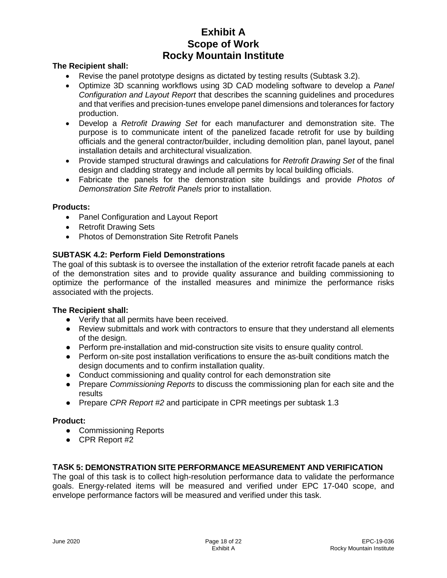#### **The Recipient shall:**

- Revise the panel prototype designs as dictated by testing results (Subtask 3.2).
- Optimize 3D scanning workflows using 3D CAD modeling software to develop a *Panel Configuration and Layout Report* that describes the scanning guidelines and procedures and that verifies and precision-tunes envelope panel dimensions and tolerances for factory production.
- Develop a *Retrofit Drawing Set* for each manufacturer and demonstration site. The purpose is to communicate intent of the panelized facade retrofit for use by building officials and the general contractor/builder, including demolition plan, panel layout, panel installation details and architectural visualization.
- Provide stamped structural drawings and calculations for *Retrofit Drawing Set* of the final design and cladding strategy and include all permits by local building officials.
- Fabricate the panels for the demonstration site buildings and provide *Photos of Demonstration Site Retrofit Panels* prior to installation.

#### **Products:**

- Panel Configuration and Layout Report
- Retrofit Drawing Sets
- Photos of Demonstration Site Retrofit Panels

#### **SUBTASK 4.2: Perform Field Demonstrations**

The goal of this subtask is to oversee the installation of the exterior retrofit facade panels at each of the demonstration sites and to provide quality assurance and building commissioning to optimize the performance of the installed measures and minimize the performance risks associated with the projects.

#### **The Recipient shall:**

- Verify that all permits have been received.
- Review submittals and work with contractors to ensure that they understand all elements of the design.
- Perform pre-installation and mid-construction site visits to ensure quality control.
- Perform on-site post installation verifications to ensure the as-built conditions match the design documents and to confirm installation quality.
- Conduct commissioning and quality control for each demonstration site
- Prepare *Commissioning Reports* to discuss the commissioning plan for each site and the results
- Prepare *CPR Report #2* and participate in CPR meetings per subtask 1.3

#### **Product:**

- Commissioning Reports
- CPR Report #2

## **TASK 5: DEMONSTRATION SITE PERFORMANCE MEASUREMENT AND VERIFICATION**

The goal of this task is to collect high-resolution performance data to validate the performance goals. Energy-related items will be measured and verified under EPC 17-040 scope, and envelope performance factors will be measured and verified under this task.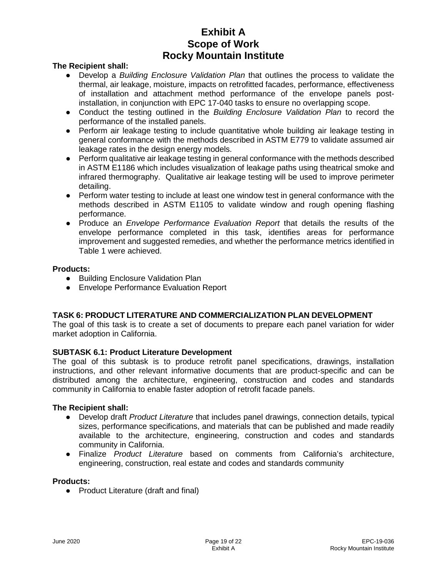#### **The Recipient shall:**

- Develop a *Building Enclosure Validation Plan* that outlines the process to validate the thermal, air leakage, moisture, impacts on retrofitted facades, performance, effectiveness of installation and attachment method performance of the envelope panels postinstallation, in conjunction with EPC 17-040 tasks to ensure no overlapping scope.
- Conduct the testing outlined in the *Building Enclosure Validation Plan* to record the performance of the installed panels.
- Perform air leakage testing to include quantitative whole building air leakage testing in general conformance with the methods described in ASTM E779 to validate assumed air leakage rates in the design energy models.
- Perform qualitative air leakage testing in general conformance with the methods described in ASTM E1186 which includes visualization of leakage paths using theatrical smoke and infrared thermography. Qualitative air leakage testing will be used to improve perimeter detailing.
- Perform water testing to include at least one window test in general conformance with the methods described in ASTM E1105 to validate window and rough opening flashing performance.
- Produce an *Envelope Performance Evaluation Report* that details the results of the envelope performance completed in this task, identifies areas for performance improvement and suggested remedies, and whether the performance metrics identified in Table 1 were achieved.

#### **Products:**

- Building Enclosure Validation Plan
- Envelope Performance Evaluation Report

## **TASK 6: PRODUCT LITERATURE AND COMMERCIALIZATION PLAN DEVELOPMENT**

The goal of this task is to create a set of documents to prepare each panel variation for wider market adoption in California.

## **SUBTASK 6.1: Product Literature Development**

The goal of this subtask is to produce retrofit panel specifications, drawings, installation instructions, and other relevant informative documents that are product-specific and can be distributed among the architecture, engineering, construction and codes and standards community in California to enable faster adoption of retrofit facade panels.

#### **The Recipient shall:**

- Develop draft *Product Literature* that includes panel drawings, connection details, typical sizes, performance specifications, and materials that can be published and made readily available to the architecture, engineering, construction and codes and standards community in California.
- Finalize *Product Literature* based on comments from California's architecture, engineering, construction, real estate and codes and standards community

#### **Products:**

● Product Literature (draft and final)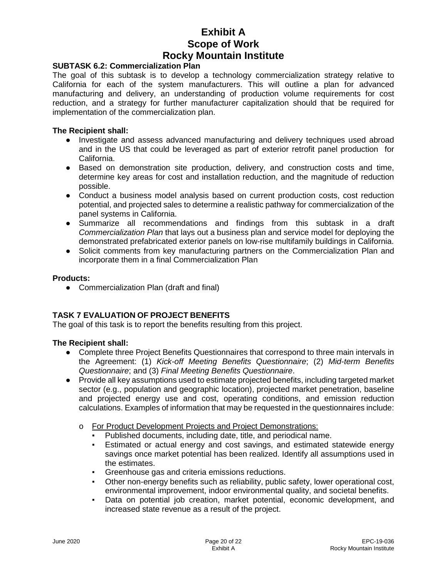#### **SUBTASK 6.2: Commercialization Plan**

The goal of this subtask is to develop a technology commercialization strategy relative to California for each of the system manufacturers. This will outline a plan for advanced manufacturing and delivery, an understanding of production volume requirements for cost reduction, and a strategy for further manufacturer capitalization should that be required for implementation of the commercialization plan.

#### **The Recipient shall:**

- Investigate and assess advanced manufacturing and delivery techniques used abroad and in the US that could be leveraged as part of exterior retrofit panel production for California.
- Based on demonstration site production, delivery, and construction costs and time, determine key areas for cost and installation reduction, and the magnitude of reduction possible.
- Conduct a business model analysis based on current production costs, cost reduction potential, and projected sales to determine a realistic pathway for commercialization of the panel systems in California.
- Summarize all recommendations and findings from this subtask in a draft *Commercialization Plan* that lays out a business plan and service model for deploying the demonstrated prefabricated exterior panels on low-rise multifamily buildings in California.
- Solicit comments from key manufacturing partners on the Commercialization Plan and incorporate them in a final Commercialization Plan

#### **Products:**

● Commercialization Plan (draft and final)

## **TASK 7 EVALUATION OF PROJECT BENEFITS**

The goal of this task is to report the benefits resulting from this project.

## **The Recipient shall:**

- Complete three Project Benefits Questionnaires that correspond to three main intervals in the Agreement: (1) *Kick-off Meeting Benefits Questionnaire*; (2) *Mid-term Benefits Questionnaire*; and (3) *Final Meeting Benefits Questionnaire*.
- Provide all key assumptions used to estimate projected benefits, including targeted market sector (e.g., population and geographic location), projected market penetration, baseline and projected energy use and cost, operating conditions, and emission reduction calculations. Examples of information that may be requested in the questionnaires include:
	- o For Product Development Projects and Project Demonstrations:
		- Published documents, including date, title, and periodical name.
		- Estimated or actual energy and cost savings, and estimated statewide energy savings once market potential has been realized. Identify all assumptions used in the estimates.
		- Greenhouse gas and criteria emissions reductions.
		- Other non-energy benefits such as reliability, public safety, lower operational cost, environmental improvement, indoor environmental quality, and societal benefits.
		- Data on potential job creation, market potential, economic development, and increased state revenue as a result of the project.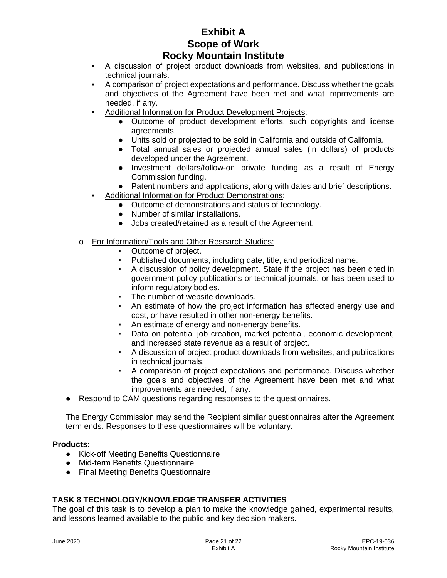- A discussion of project product downloads from websites, and publications in technical journals.
- A comparison of project expectations and performance. Discuss whether the goals and objectives of the Agreement have been met and what improvements are needed, if any.
- Additional Information for Product Development Projects:
	- Outcome of product development efforts, such copyrights and license agreements.
	- Units sold or projected to be sold in California and outside of California.
	- Total annual sales or projected annual sales (in dollars) of products developed under the Agreement.
	- Investment dollars/follow-on private funding as a result of Energy Commission funding.
	- Patent numbers and applications, along with dates and brief descriptions.
- Additional Information for Product Demonstrations:
	- Outcome of demonstrations and status of technology.
	- Number of similar installations.
	- Jobs created/retained as a result of the Agreement.
- o For Information/Tools and Other Research Studies:
	- Outcome of project.
	- Published documents, including date, title, and periodical name.
	- A discussion of policy development. State if the project has been cited in government policy publications or technical journals, or has been used to inform regulatory bodies.
	- The number of website downloads.
	- An estimate of how the project information has affected energy use and cost, or have resulted in other non-energy benefits.
	- An estimate of energy and non-energy benefits.
	- Data on potential job creation, market potential, economic development, and increased state revenue as a result of project.
	- A discussion of project product downloads from websites, and publications in technical journals.
	- A comparison of project expectations and performance. Discuss whether the goals and objectives of the Agreement have been met and what improvements are needed, if any.
- Respond to CAM questions regarding responses to the questionnaires.

The Energy Commission may send the Recipient similar questionnaires after the Agreement term ends. Responses to these questionnaires will be voluntary.

## **Products:**

- Kick-off Meeting Benefits Questionnaire
- Mid-term Benefits Questionnaire
- Final Meeting Benefits Questionnaire

## **TASK 8 TECHNOLOGY/KNOWLEDGE TRANSFER ACTIVITIES**

The goal of this task is to develop a plan to make the knowledge gained, experimental results, and lessons learned available to the public and key decision makers.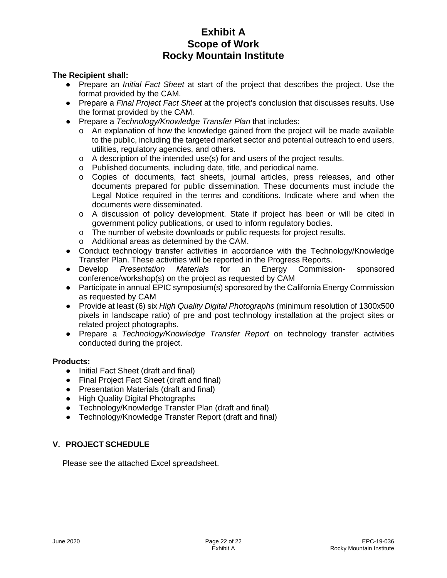## **The Recipient shall:**

- Prepare an *Initial Fact Sheet* at start of the project that describes the project. Use the format provided by the CAM.
- Prepare a *Final Project Fact Sheet* at the project's conclusion that discusses results. Use the format provided by the CAM.
- Prepare a *Technology/Knowledge Transfer Plan* that includes:
	- $\circ$  An explanation of how the knowledge gained from the project will be made available to the public, including the targeted market sector and potential outreach to end users, utilities, regulatory agencies, and others.
	- $\circ$  A description of the intended use(s) for and users of the project results.
	- o Published documents, including date, title, and periodical name.
	- o Copies of documents, fact sheets, journal articles, press releases, and other documents prepared for public dissemination. These documents must include the Legal Notice required in the terms and conditions. Indicate where and when the documents were disseminated.
	- o A discussion of policy development. State if project has been or will be cited in government policy publications, or used to inform regulatory bodies.
	- o The number of website downloads or public requests for project results.
	- o Additional areas as determined by the CAM.
- Conduct technology transfer activities in accordance with the Technology/Knowledge Transfer Plan. These activities will be reported in the Progress Reports.
- Develop *Presentation Materials* for an Energy Commission- sponsored conference/workshop(s) on the project as requested by CAM
- Participate in annual EPIC symposium(s) sponsored by the California Energy Commission as requested by CAM
- Provide at least (6) six *High Quality Digital Photographs* (minimum resolution of 1300x500 pixels in landscape ratio) of pre and post technology installation at the project sites or related project photographs.
- Prepare a *Technology/Knowledge Transfer Report* on technology transfer activities conducted during the project.

#### **Products:**

- Initial Fact Sheet (draft and final)
- Final Project Fact Sheet (draft and final)
- Presentation Materials (draft and final)
- High Quality Digital Photographs
- Technology/Knowledge Transfer Plan (draft and final)
- Technology/Knowledge Transfer Report (draft and final)

## **V. PROJECT SCHEDULE**

Please see the attached Excel spreadsheet.